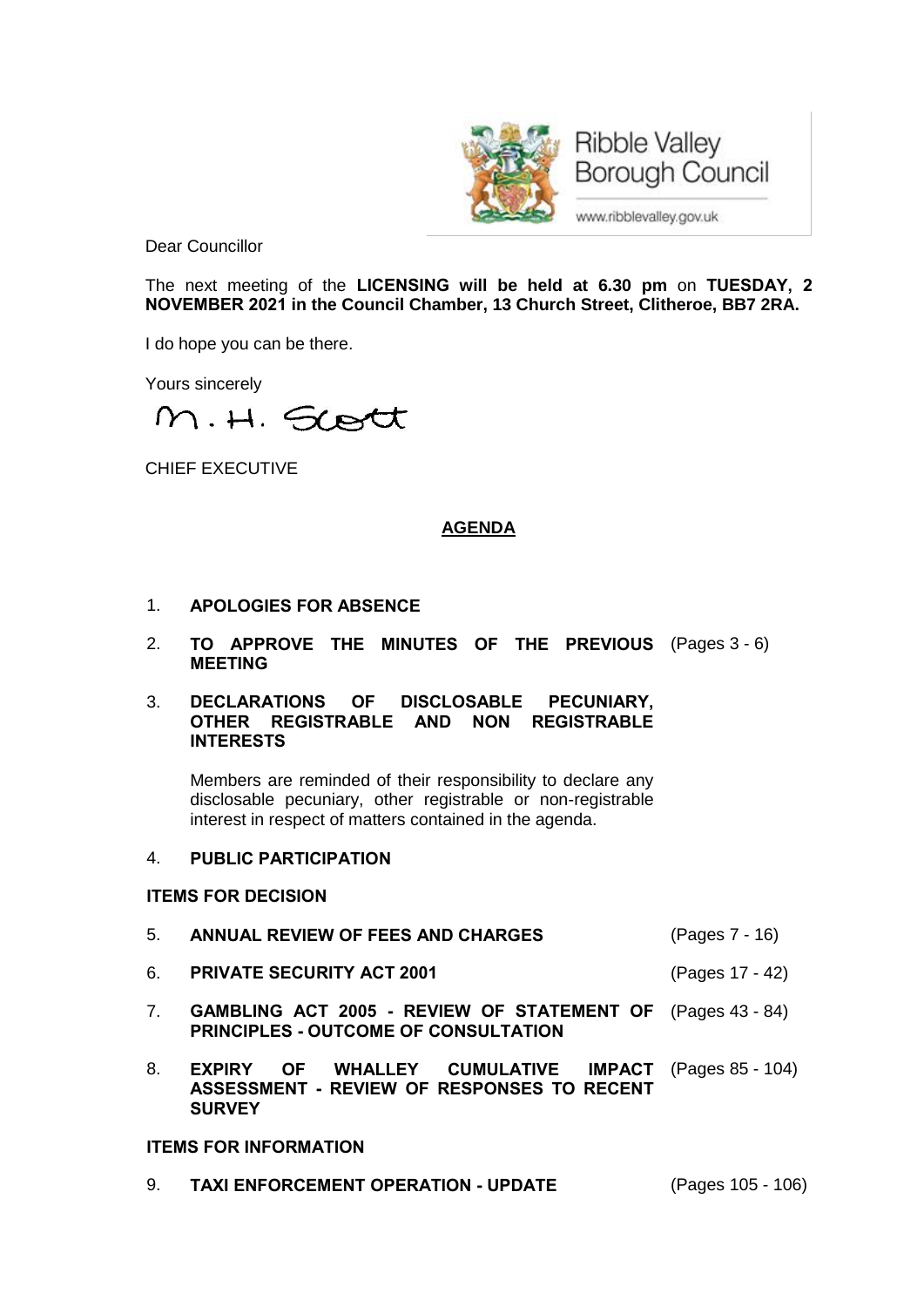

**Ribble Valley Borough Council** 

www.ribblevalley.gov.uk

Dear Councillor

The next meeting of the **LICENSING will be held at 6.30 pm** on **TUESDAY, 2 NOVEMBER 2021 in the Council Chamber, 13 Church Street, Clitheroe, BB7 2RA.**

I do hope you can be there.

Yours sincerely

M.H. Sort

CHIEF EXECUTIVE

# **AGENDA**

- 1. **APOLOGIES FOR ABSENCE**
- 2. **TO APPROVE THE MINUTES OF THE PREVIOUS** (Pages 3 6) **MEETING**
- 3. **DECLARATIONS OF DISCLOSABLE PECUNIARY, OTHER REGISTRABLE AND NON REGISTRABLE INTERESTS**

Members are reminded of their responsibility to declare any disclosable pecuniary, other registrable or non-registrable interest in respect of matters contained in the agenda.

## 4. **PUBLIC PARTICIPATION**

#### **ITEMS FOR DECISION**

- 5. **ANNUAL REVIEW OF FEES AND CHARGES** (Pages 7 16)
- 6. **PRIVATE SECURITY ACT 2001** (Pages 17 42)
- 7. **GAMBLING ACT 2005 - REVIEW OF STATEMENT OF** (Pages 43 84) **PRINCIPLES - OUTCOME OF CONSULTATION**
- 8. **EXPIRY OF WHALLEY CUMULATIVE ASSESSMENT - REVIEW OF RESPONSES TO RECENT SURVEY** (Pages 85 - 104)

# **ITEMS FOR INFORMATION**

9. **TAXI ENFORCEMENT OPERATION - UPDATE** (Pages 105 - 106)